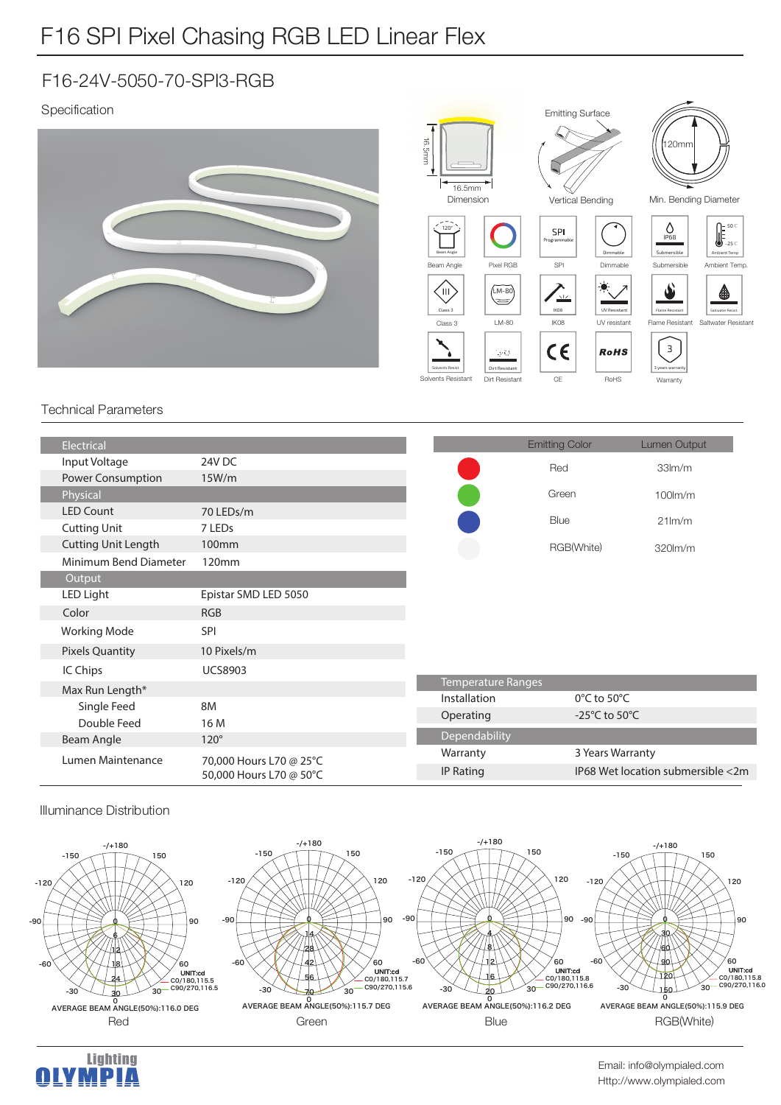## F16 SPI Pixel Chasing RGB LED Linear Flex

### F16-24V-5050-70-SPI3-RGB

### Specification



#### Technical Parameters

| Electrical                 |                                                    |                  | <b>Emitting Color</b>               | <b>Lumen Output</b>               |  |
|----------------------------|----------------------------------------------------|------------------|-------------------------------------|-----------------------------------|--|
| Input Voltage              | 24V DC                                             |                  | Red                                 | 33 <sub>lm</sub> /m               |  |
| Power Consumption          | 15W/m                                              |                  |                                     |                                   |  |
| Physical                   |                                                    |                  | Green                               | $100$ m/m                         |  |
| <b>LED Count</b>           | 70 LEDs/m                                          |                  | Blue                                | $21$ lm/m                         |  |
| <b>Cutting Unit</b>        | 7 LED <sub>s</sub>                                 |                  |                                     |                                   |  |
| <b>Cutting Unit Length</b> | 100 <sub>mm</sub>                                  |                  | RGB(White)                          | 320lm/m                           |  |
| Minimum Bend Diameter      | 120mm                                              |                  |                                     |                                   |  |
| Output                     |                                                    |                  |                                     |                                   |  |
| LED Light                  | Epistar SMD LED 5050                               |                  |                                     |                                   |  |
| Color                      | <b>RGB</b>                                         |                  |                                     |                                   |  |
| <b>Working Mode</b>        | <b>SPI</b>                                         |                  |                                     |                                   |  |
| <b>Pixels Quantity</b>     | 10 Pixels/m                                        |                  |                                     |                                   |  |
| IC Chips                   | <b>UCS8903</b>                                     |                  |                                     |                                   |  |
| Max Run Length*            |                                                    |                  | <b>Temperature Ranges</b>           |                                   |  |
| Single Feed                | 8M                                                 | Installation     | $0^{\circ}$ C to 50 $^{\circ}$ C    |                                   |  |
| Double Feed                | 16 M                                               | Operating        | -25 $^{\circ}$ C to 50 $^{\circ}$ C |                                   |  |
| <b>Beam Angle</b>          | $120^\circ$                                        | Dependability    |                                     |                                   |  |
| Lumen Maintenance          | 70,000 Hours L70 @ 25°C<br>50,000 Hours L70 @ 50°C | Warranty         | 3 Years Warranty                    |                                   |  |
|                            |                                                    | <b>IP Rating</b> |                                     | IP68 Wet location submersible <2m |  |
|                            |                                                    |                  |                                     |                                   |  |

#### Illuminance Distribution



**Lighting** 

MPIA

H.



Http://www.olympialed.com Email: info@olympialed.com